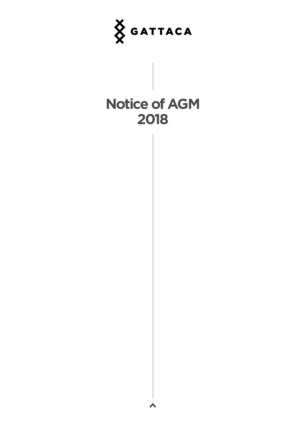

# **Notice of AGM 2018**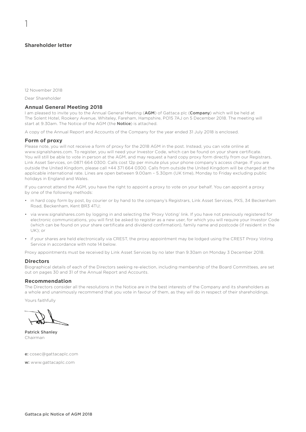# **Shareholder letter**

1

12 November 2018

Dear Shareholder

#### **Annual General Meeting 2018**

I am pleased to invite you to the Annual General Meeting (AGM) of Gattaca plc (Company) which will be held at The Solent Hotel, Rookery Avenue, Whiteley, Fareham, Hampshire, PO15 7AJ on 5 December 2018. The meeting will start at 9.30am. The Notice of the AGM (the **Notice**) is attached.

A copy of the Annual Report and Accounts of the Company for the year ended 31 July 2018 is enclosed.

#### **Form of proxy**

Please note, you will not receive a form of proxy for the 2018 AGM in the post. Instead, you can vote online at www.signalshares.com. To register, you will need your Investor Code, which can be found on your share certificate. You will still be able to vote in person at the AGM, and may request a hard copy proxy form directly from our Registrars, Link Asset Services, on 0871 664 0300. Calls cost 12p per minute plus your phone company's access charge. If you are outside the United Kingdom, please call +44 371 664 0300. Calls from outside the United Kingdom will be charged at the applicable international rate. Lines are open between 9.00am – 5.30pm (UK time), Monday to Friday excluding public holidays in England and Wales.

If you cannot attend the AGM, you have the right to appoint a proxy to vote on your behalf. You can appoint a proxy by one of the following methods:

- in hard copy form by post, by courier or by hand to the company's Registrars, Link Asset Services, PXS, 34 Beckenham Road, Beckenham, Kent BR3 4TU;
- via www.signalshares.com by logging in and selecting the 'Proxy Voting' link. If you have not previously registered for electronic communications, you will first be asked to register as a new user, for which you will require your Investor Code (which can be found on your share certificate and dividend confirmation), family name and postcode (if resident in the UK); or
- if your shares are held electronically via CREST, the proxy appointment may be lodged using the CREST Proxy Voting Service in accordance with note 14 below.

Proxy appointments must be received by Link Asset Services by no later than 9.30am on Monday 3 December 2018.

#### **Directors**

Biographical details of each of the Directors seeking re-election, including membership of the Board Committees, are set out on pages 30 and 31 of the Annual Report and Accounts.

#### **Recommendation**

The Directors consider all the resolutions in the Notice are in the best interests of the Company and its shareholders as a whole and unanimously recommend that you vote in favour of them, as they will do in respect of their shareholdings.

Yours faithfully

Patrick Shanley Chairman

e: cosec@gattacaplc.com

w: www.gattacaplc.com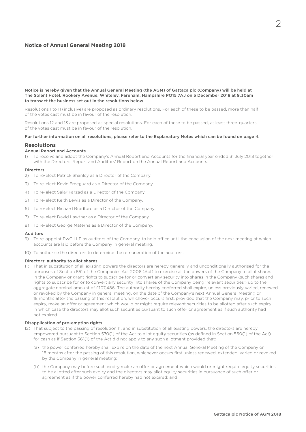# **Notice of Annual General Meeting 2018**

Notice is hereby given that the Annual General Meeting (the AGM) of Gattaca plc (Company) will be held at The Solent Hotel, Rookery Avenue, Whiteley, Fareham, Hampshire PO15 7AJ on 5 December 2018 at 9.30am to transact the business set out in the resolutions below.

Resolutions 1 to 11 (inclusive) are proposed as ordinary resolutions. For each of these to be passed, more than half of the votes cast must be in favour of the resolution.

Resolutions 12 and 13 are proposed as special resolutions. For each of these to be passed, at least three-quarters of the votes cast must be in favour of the resolution.

#### For further information on all resolutions, please refer to the Explanatory Notes which can be found on page 4.

## **Resolutions**

#### Annual Report and Accounts

1) To receive and adopt the Company's Annual Report and Accounts for the financial year ended 31 July 2018 together with the Directors' Report and Auditors' Report on the Annual Report and Accounts.

#### Directors

- 2) To re-elect Patrick Shanley as a Director of the Company.
- 3) To re-elect Kevin Freeguard as a Director of the Company.
- 4) To re-elect Salar Farzad as a Director of the Company.
- 5) To re-elect Keith Lewis as a Director of the Company.
- 6) To re-elect Richard Bradford as a Director of the Company.
- 7) To re-elect David Lawther as a Director of the Company.
- 8) To re-elect George Materna as a Director of the Company.

#### Auditors

- 9) To re-appoint PwC LLP as auditors of the Company, to hold office until the conclusion of the next meeting at which accounts are laid before the Company in general meeting.
- 10) To authorise the directors to determine the remuneration of the auditors.

#### Directors' authority to allot shares

11) That in substitution of all existing powers the directors are hereby generally and unconditionally authorised for the purposes of Section 551 of the Companies Act 2006 (Act) to exercise all the powers of the Company to allot shares in the Company or grant rights to subscribe for or convert any security into shares in the Company (such shares and rights to subscribe for or to convert any security into shares of the Company being 'relevant securities') up to the aggregate nominal amount of £107,486. The authority hereby conferred shall expire, unless previously varied, renewed or revoked by the Company in general meeting, on the date of the Company's next Annual General Meeting or 18 months after the passing of this resolution, whichever occurs first, provided that the Company may, prior to such expiry, make an offer or agreement which would or might require relevant securities to be allotted after such expiry in which case the directors may allot such securities pursuant to such offer or agreement as if such authority had not expired.

## Disapplication of pre-emption rights

- 12) That subject to the passing of resolution 11, and in substitution of all existing powers, the directors are hereby empowered pursuant to Section 570(1) of the Act to allot equity securities (as defined in Section 560(1) of the Act) for cash as if Section 561(1) of the Act did not apply to any such allotment provided that:
	- (a) the power conferred hereby shall expire on the date of the next Annual General Meeting of the Company or 18 months after the passing of this resolution, whichever occurs first unless renewed, extended, varied or revoked by the Company in general meeting;
	- (b) the Company may before such expiry make an offer or agreement which would or might require equity securities to be allotted after such expiry and the directors may allot equity securities in pursuance of such offer or agreement as if the power conferred hereby had not expired; and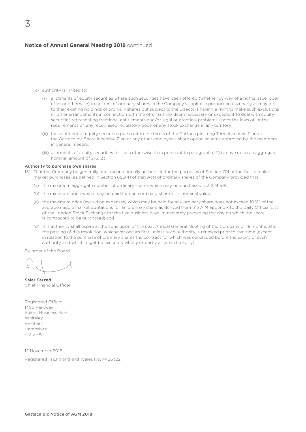# **Notice of Annual General Meeting 2018** continued

- (c) authority is limited to:
	- (i) allotments of equity securities where such securities have been offered (whether by way of a rights issue, open offer or otherwise) to holders of ordinary shares in the Company's capital in proportion (as nearly as may be) to their existing holdings of ordinary shares but subject to the Directors having a right to make such exclusions or other arrangements in connection with the offer as they deem necessary or expedient to deal with equity securities representing fractional entitlements and/or legal or practical problems under the laws of, or the requirements of, any recognised regulatory body or any stock exchange in any territory;
	- (ii) the allotment of equity securities pursuant to the terms of the Gattaca plc Long Term Incentive Plan or the Gattaca plc Share Incentive Plan or any other employees' share option scheme approved by the members in general meeting;
	- (iii) allotments of equity securities for cash otherwise than pursuant to paragraph (c)(i) above up to an aggregate nominal amount of £16,123.

#### Authority to purchase own shares

- 13) That the Company be generally and unconditionally authorised for the purposes of Section 701 of the Act to make market purchases (as defined in Section 693(4) of that Act) of ordinary shares of the Company provided that:
	- (a) the maximum aggregate number of ordinary shares which may be purchased is 3,224,591;
	- (b) the minimum price which may be paid for each ordinary share is its nominal value;
	- (c) the maximum price (excluding expenses) which may be paid for any ordinary share does not exceed 105% of the average middle market quotations for an ordinary share as derived from the AIM appendix to the Daily Official List of the London Stock Exchange for the five business days immediately preceding the day on which the share is contracted to be purchased; and
	- (d) this authority shall expire at the conclusion of the next Annual General Meeting of the Company or 18 months after the passing of this resolution, whichever occurs first, unless such authority is renewed prior to that time (except in relation to the purchase of ordinary shares the contract for which was concluded before the expiry of such authority and which might be executed wholly or partly after such expiry).

By order of the Board

Salar Farzad Chief Financial Officer

Registered Office: 1450 Parkway Solent Business Park Whiteley Fareham Hampshire PO15 7AF

12 November 2018

Registered in England and Wales No. 4426322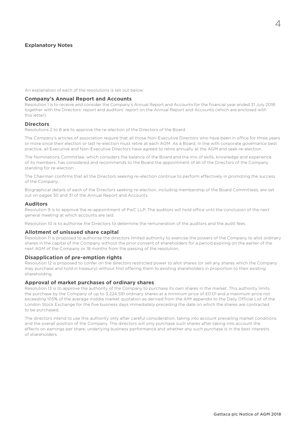# **Explanatory Notes**

An explanation of each of the resolutions is set out below:

#### **Company's Annual Report and Accounts**

Resolution 1 is to receive and consider the Company's Annual Report and Accounts for the financial year ended 31 July 2018 together with the Directors' report and auditors' report on the Annual Report and Accounts (which are enclosed with this letter).

## **Directors**

Resolutions 2 to 8 are to approve the re-election of the Directors of the Board.

The Company's articles of association require that all those Non-Executive Directors who have been in office for three years or more since their election or last re-election must retire at each AGM. As a Board, in line with corporate governance best practice, all Executive and Non-Executive Directors have agreed to retire annually at the AGM and seek re-election.

The Nominations Committee, which considers the balance of the Board and the mix of skills, knowledge and experience of its members, has considered and recommends to the Board the appointment of all of the Directors of the Company standing for re-election.

The Chairman confirms that all the Directors seeking re-election continue to perform effectively in promoting the success of the Company.

Biographical details of each of the Directors seeking re-election, including membership of the Board Committees, are set out on pages 30 and 31 of the Annual Report and Accounts.

## **Auditors**

Resolution 9 is to approve the re-appointment of PwC LLP. The auditors will hold office until the conclusion of the next general meeting at which accounts are laid.

Resolution 10 is to authorise the Directors to determine the remuneration of the auditors and the audit fees.

## **Allotment of unissued share capital**

Resolution 11 is proposed to authorise the directors limited authority to exercise the powers of the Company to allot ordinary shares in the capital of the Company without the prior consent of shareholders for a period expiring on the earlier of the next AGM of the Company or 18 months from the passing of the resolution.

## **Disapplication of pre-emption rights**

Resolution 12 is proposed to confer on the directors restricted power to allot shares (or sell any shares which the Company may purchase and hold in treasury) without first offering them to existing shareholders in proportion to their existing shareholding.

#### **Approval of market purchases of ordinary shares**

Resolution 13 is to approve the authority of the Company to purchase its own shares in the market. This authority limits the purchase by the Company of up to 3,224,591 ordinary shares at a minimum price of £0.01 and a maximum price not exceeding 105% of the average middle market quotation as derived from the AIM appendix to the Daily Official List of the London Stock Exchange for the five business days immediately preceding the date on which the shares are contracted to be purchased.

The directors intend to use this authority only after careful consideration, taking into account prevailing market conditions and the overall position of the Company. The directors will only purchase such shares after taking into account the effects on earnings per share, underlying business performance and whether any such purchase is in the best interests of shareholders.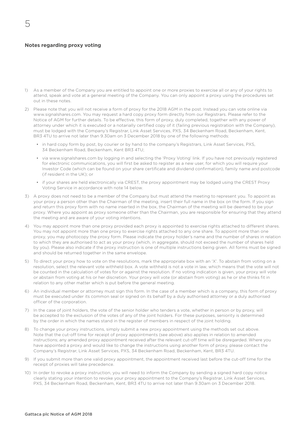## **Notes regarding proxy voting**

- 1) As a member of the Company you are entitled to appoint one or more proxies to exercise all or any of your rights to attend, speak and vote at a general meeting of the Company. You can only appoint a proxy using the procedures set out in these notes.
- 2) Please note that you will not receive a form of proxy for the 2018 AGM in the post. Instead you can vote online via www.signalshares.com. You may request a hard copy proxy form directly from our Registrars. Please refer to the Notice of AGM for further details. To be effective, this form of proxy, duly completed, together with any power of attorney under which it is executed or a notarially certified copy of it (failing previous registration with the Company), must be lodged with the Company's Registrar, Link Asset Services, PXS, 34 Beckenham Road, Beckenham, Kent, BR3 4TU to arrive not later than 9.30am on 3 December 2018 by one of the following methods:
	- in hard copy form by post, by courier or by hand to the company's Registrars, Link Asset Services, PXS, 34 Beckenham Road, Beckenham, Kent BR3 4TU;
	- via www.signalshares.com by logging in and selecting the 'Proxy Voting' link. If you have not previously registered for electronic communications, you will first be asked to register as a new user, for which you will require your Investor Code (which can be found on your share certificate and dividend confirmation), family name and postcode (if resident in the UK); or
	- if your shares are held electronically via CREST, the proxy appointment may be lodged using the CREST Proxy Voting Service in accordance with note 14 below.
- 3) A proxy does not need to be a member of the Company but must attend the meeting to represent you. To appoint as your proxy a person other than the Chairman of the meeting, insert their full name in the box on the form. If you sign and return this proxy form with no name inserted in the box, the Chairman of the meeting will be deemed to be your proxy. Where you appoint as proxy someone other than the Chairman, you are responsible for ensuring that they attend the meeting and are aware of your voting intentions.
- 4) You may appoint more than one proxy provided each proxy is appointed to exercise rights attached to different shares. You may not appoint more than one proxy to exercise rights attached to any one share. To appoint more than one proxy, you may photocopy the proxy form. Please indicate the proxy holder's name and the number of shares in relation to which they are authorised to act as your proxy (which, in aggregate, should not exceed the number of shares held by you). Please also indicate if the proxy instruction is one of multiple instructions being given. All forms must be signed and should be returned together in the same envelope.
- 5) To direct your proxy how to vote on the resolutions, mark the appropriate box with an 'X'. To abstain from voting on a resolution, select the relevant vote withheld box. A vote withheld is not a vote in law, which means that the vote will not be counted in the calculation of votes for or against the resolution. If no voting indication is given, your proxy will vote or abstain from voting at his or her discretion. Your proxy will vote (or abstain from voting) as he or she thinks fit in relation to any other matter which is put before the general meeting.
- 6) An individual member or attorney must sign this form. In the case of a member which is a company, this form of proxy must be executed under its common seal or signed on its behalf by a duly authorised attorney or a duly authorised officer of the corporation.
- 7) In the case of joint holders, the vote of the senior holder who tenders a vote, whether in person or by proxy, will be accepted to the exclusion of the votes of any of the joint holders. For these purposes, seniority is determined by the order in which the names stand in the register of members in respect of the joint holding.
- 8) To change your proxy instructions, simply submit a new proxy appointment using the methods set out above. Note that the cut-off time for receipt of proxy appointments (see above) also applies in relation to amended instructions; any amended proxy appointment received after the relevant cut-off time will be disregarded. Where you have appointed a proxy and would like to change the instructions using another form of proxy, please contact the Company's Registrar, Link Asset Services, PXS, 34 Beckenham Road, Beckenham, Kent, BR3 4TU.
- 9) If you submit more than one valid proxy appointment, the appointment received last before the cut-off time for the receipt of proxies will take precedence.
- 10) In order to revoke a proxy instruction, you will need to inform the Company by sending a signed hard copy notice clearly stating your intention to revoke your proxy appointment to the Company's Registrar, Link Asset Services, PXS, 34 Beckenham Road, Beckenham, Kent, BR3 4TU to arrive not later than 9.30am on 3 December 2018.